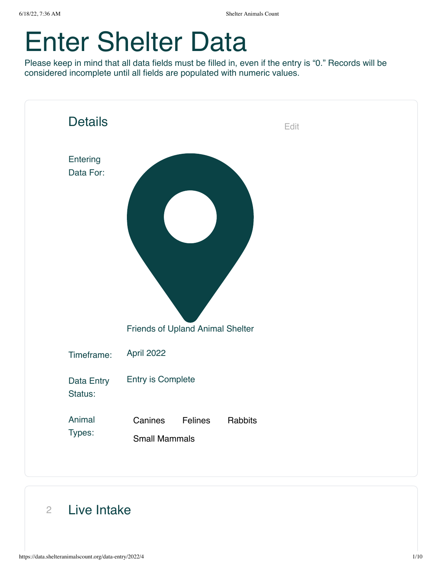# Enter Shelter Data

Please keep in mind that all data fields must be filled in, even if the entry is "0." Records will be considered incomplete until all fields are populated with numeric values.



#### 2 Live Intake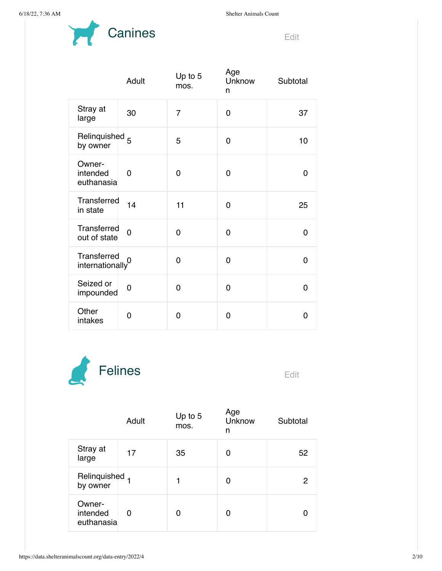

|                                       | Adult          | Up to 5<br>mos. | Age<br>Unknow<br>n | Subtotal |
|---------------------------------------|----------------|-----------------|--------------------|----------|
| Stray at<br>large                     | 30             | $\overline{7}$  | $\Omega$           | 37       |
| Relinquished <sub>5</sub><br>by owner |                | 5               | $\Omega$           | 10       |
| Owner-<br>intended<br>euthanasia      | 0              | $\Omega$        | 0                  | 0        |
| Transferred<br>in state               | 14             | 11              | $\Omega$           | 25       |
| Transferred<br>out of state           | $\overline{0}$ | 0               | $\Omega$           | 0        |
| Transferred<br>internationally        | $\overline{0}$ | 0               | 0                  | 0        |
| Seized or<br>impounded                | 0              | 0               | 0                  | 0        |
| Other<br>intakes                      | 0              | 0               | 0                  | 0        |



|                                  | Adult | Up to 5<br>mos. | Age<br>Unknow<br>n | Subtotal |
|----------------------------------|-------|-----------------|--------------------|----------|
| Stray at<br>large                | 17    | 35              | 0                  | 52       |
| Relinquished 1<br>by owner       |       | 1               | 0                  | 2        |
| Owner-<br>intended<br>euthanasia | 0     | 0               | 0                  |          |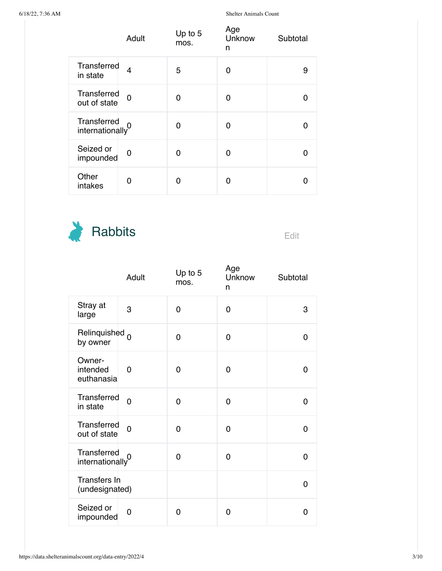|                                | Adult          | Up to 5<br>mos. | Age<br>Unknow<br>n | Subtotal |
|--------------------------------|----------------|-----------------|--------------------|----------|
| Transferred<br>in state        | $\overline{4}$ | 5               | 0                  | 9        |
| Transferred<br>out of state    | $\overline{0}$ | O               | 0                  |          |
| Transferred<br>internationally |                | 0               | Ω                  |          |
| Seized or<br>impounded         | 0              | O               | O                  |          |
| Other<br>intakes               | 0              | ∩               | O                  |          |



|                                             | Adult          | Up to 5<br>mos. | Age<br>Unknow<br>n | Subtotal |
|---------------------------------------------|----------------|-----------------|--------------------|----------|
| Stray at<br>large                           | 3              | 0               | 0                  | 3        |
| Relinquished 0<br>by owner                  |                | 0               | 0                  | 0        |
| Owner-<br>intended<br>euthanasia            | 0              | 0               | 0                  | 0        |
| Transferred<br>in state                     | $\overline{0}$ | 0               | 0                  | 0        |
| Transferred<br>out of state                 | $\overline{0}$ | 0               | 0                  | 0        |
| Transferred<br>internationally <sup>0</sup> |                | 0               | 0                  | 0        |
| Transfers In<br>(undesignated)              |                |                 |                    | 0        |
| Seized or<br>impounded                      | 0              | 0               | 0                  | 0        |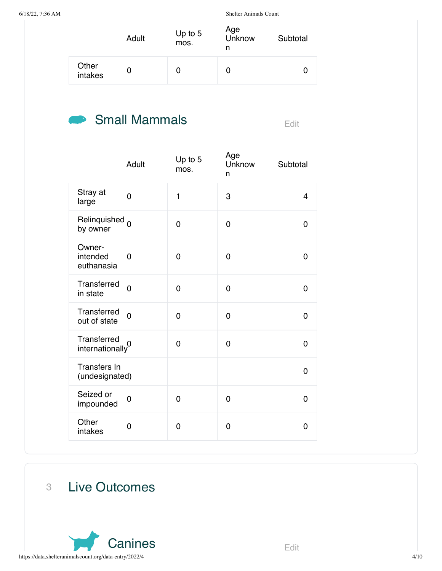|                  | Adult | Up to 5<br>mos. | Age<br>Unknow<br>n | Subtotal |
|------------------|-------|-----------------|--------------------|----------|
| Other<br>intakes |       |                 |                    |          |

## Small Mammals Edit

|                                             | Adult          | Up to 5<br>mos. | Age<br>Unknow<br>n | Subtotal       |
|---------------------------------------------|----------------|-----------------|--------------------|----------------|
| Stray at<br>large                           | $\overline{0}$ | 1               | 3                  | $\overline{4}$ |
| Relinquished 0<br>by owner                  |                | $\overline{0}$  | 0                  | $\overline{0}$ |
| Owner-<br>intended<br>euthanasia            | 0              | 0               | 0                  | 0              |
| Transferred<br>in state                     | $\overline{0}$ | 0               | 0                  | $\overline{0}$ |
| Transferred<br>out of state                 | $\overline{0}$ | 0               | 0                  | $\overline{0}$ |
| Transferred<br>internationally <sup>0</sup> |                | $\overline{0}$  | 0                  | $\mathbf 0$    |
| Transfers In<br>(undesignated)              |                |                 |                    | $\overline{0}$ |
| Seized or<br>impounded                      | $\overline{0}$ | 0               | 0                  | 0              |
| Other<br>intakes                            | 0              | 0               | 0                  | $\mathbf 0$    |

3 Live Outcomes

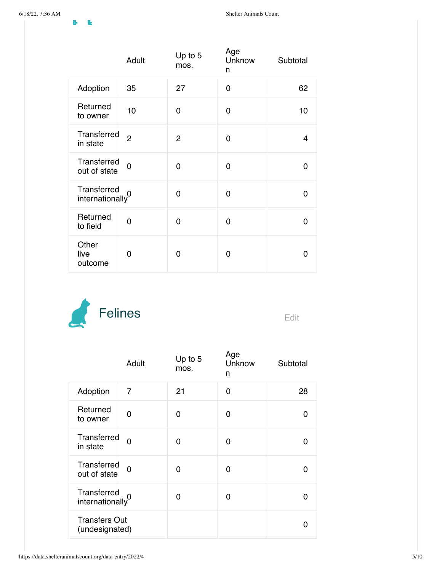|                                | Adult          | Up to 5<br>mos. | Age<br>Unknow<br>n | Subtotal |
|--------------------------------|----------------|-----------------|--------------------|----------|
| Adoption                       | 35             | 27              | 0                  | 62       |
| Returned<br>to owner           | 10             | 0               | 0                  | 10       |
| Transferred<br>in state        | $\overline{2}$ | $\overline{2}$  | $\Omega$           | 4        |
| Transferred<br>out of state    | $\overline{0}$ | 0               | 0                  | 0        |
| Transferred<br>internationally | $\overline{0}$ | 0               | 0                  | 0        |
| Returned<br>to field           | 0              | 0               | 0                  | 0        |
| Other<br>live<br>outcome       | 0              | 0               | 0                  | 0        |



|                                        | Adult          | Up to 5<br>mos. | Age<br>Unknow<br>n | Subtotal |
|----------------------------------------|----------------|-----------------|--------------------|----------|
| Adoption                               | $\overline{7}$ | 21              | $\Omega$           | 28       |
| Returned<br>to owner                   | 0              | 0               | 0                  | O        |
| Transferred<br>in state                | $\Omega$       | 0               | 0                  | n        |
| Transferred<br>out of state            | 0              | 0               | 0                  | O        |
| Transferred<br>internationally         | 0              | 0               | 0                  | O        |
| <b>Transfers Out</b><br>(undesignated) |                |                 |                    |          |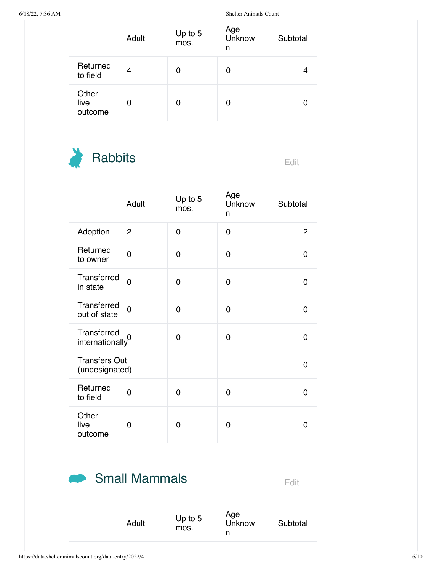|                          | Adult | Up to 5<br>mos. | Age<br>Unknow<br>n | Subtotal |
|--------------------------|-------|-----------------|--------------------|----------|
| Returned<br>to field     | 4     | 0               | 0                  |          |
| Other<br>live<br>outcome | 0     | 0               | 0                  |          |



|                                             | Adult          | Up to 5<br>mos. | Age<br>Unknow<br>n | Subtotal       |
|---------------------------------------------|----------------|-----------------|--------------------|----------------|
| Adoption                                    | $\overline{c}$ | 0               | $\overline{0}$     | $\overline{c}$ |
| Returned<br>to owner                        | 0              | 0               | 0                  | 0              |
| Transferred<br>in state                     | $\Omega$       | 0               | 0                  | 0              |
| Transferred<br>out of state                 | $\Omega$       | 0               | $\Omega$           | 0              |
| Transferred<br>internationally <sup>0</sup> |                | 0               | $\Omega$           | 0              |
| <b>Transfers Out</b><br>(undesignated)      |                |                 |                    | 0              |
| Returned<br>to field                        | 0              | 0               | $\Omega$           | 0              |
| Other<br>live<br>outcome                    | 0              | $\Omega$        | 0                  | O              |

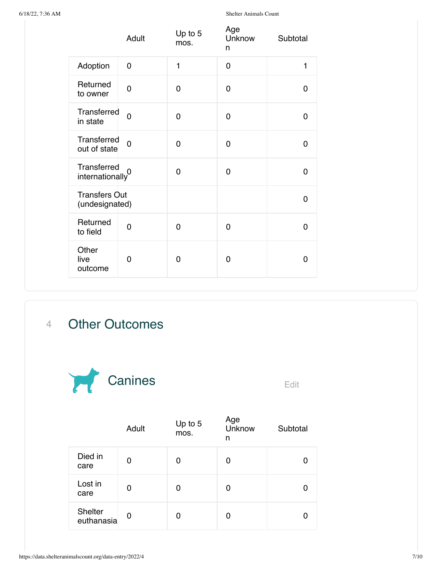|                                             | Adult          | Up to 5<br>mos. | Age<br>Unknow<br>n | Subtotal    |
|---------------------------------------------|----------------|-----------------|--------------------|-------------|
| Adoption                                    | 0              | 1               | 0                  | 1           |
| Returned<br>to owner                        | 0              | $\Omega$        | 0                  | 0           |
| Transferred<br>in state                     | $\overline{0}$ | 0               | 0                  | $\Omega$    |
| Transferred<br>out of state                 | $\overline{0}$ | 0               | 0                  | $\mathbf 0$ |
| Transferred<br>internationally <sup>0</sup> |                | 0               | 0                  | $\mathbf 0$ |
| <b>Transfers Out</b><br>(undesignated)      |                |                 |                    | $\mathbf 0$ |
| Returned<br>to field                        | $\overline{0}$ | 0               | $\Omega$           | $\Omega$    |
| Other<br>live<br>outcome                    | 0              | 0               | 0                  | $\Omega$    |

### 4 Other Outcomes



|                       | Adult | Up to 5<br>mos. | Age<br>Unknow<br>n | Subtotal |
|-----------------------|-------|-----------------|--------------------|----------|
| Died in<br>care       | 0     | 0               | 0                  |          |
| Lost in<br>care       | 0     | 0               | 0                  |          |
| Shelter<br>euthanasia | 0     | 0               | 0                  |          |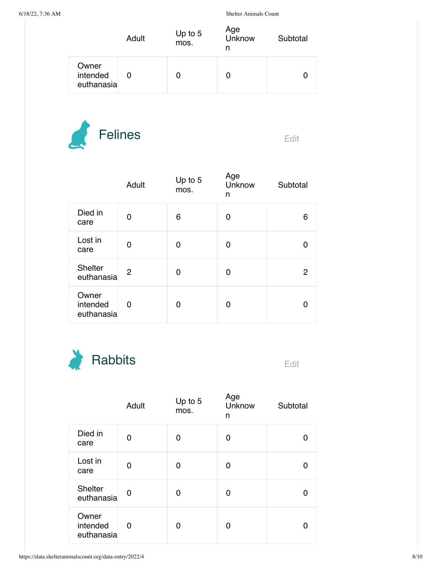|                                 | Adult | Up to $5$<br>mos. | Age<br>Unknow<br>n | Subtotal |
|---------------------------------|-------|-------------------|--------------------|----------|
| Owner<br>intended<br>euthanasia |       |                   | U                  |          |



|                                 | Adult | Up to 5<br>mos. | Age<br>Unknow<br>n | Subtotal |
|---------------------------------|-------|-----------------|--------------------|----------|
| Died in<br>care                 | 0     | 6               | 0                  | 6        |
| Lost in<br>care                 | 0     | 0               | 0                  |          |
| <b>Shelter</b><br>euthanasia    | 2     | 0               | 0                  | 2        |
| Owner<br>intended<br>euthanasia | 0     | O               | 0                  |          |



|                                 | Adult | Up to 5<br>mos. | Age<br>Unknow<br>n | Subtotal |
|---------------------------------|-------|-----------------|--------------------|----------|
| Died in<br>care                 | 0     | 0               | 0                  |          |
| Lost in<br>care                 | 0     | 0               | 0                  |          |
| <b>Shelter</b><br>euthanasia    | 0     | 0               | 0                  |          |
| Owner<br>intended<br>euthanasia | 0     | 0               | 0                  |          |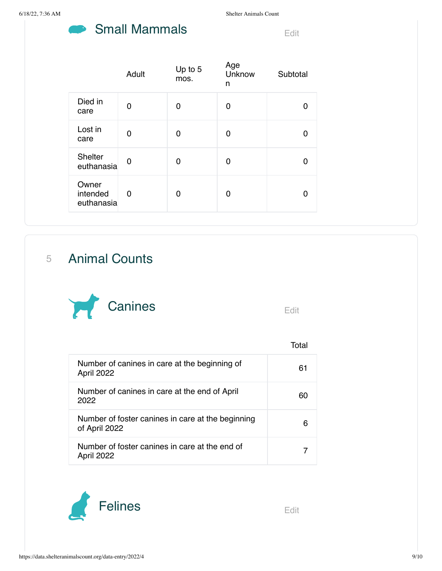#### Small Mammals Edit **STAR**

|                                 | Adult | Up to 5<br>mos. | Age<br>Unknow<br>n | Subtotal |
|---------------------------------|-------|-----------------|--------------------|----------|
| Died in<br>care                 | 0     | 0               | 0                  |          |
| Lost in<br>care                 | O     | O               | 0                  |          |
| Shelter<br>euthanasia           | 0     | O               | 0                  |          |
| Owner<br>intended<br>euthanasia | 0     | 0               | O                  |          |

5 Animal Counts



|                                                                    | Total |
|--------------------------------------------------------------------|-------|
| Number of canines in care at the beginning of<br>April 2022        | 61    |
| Number of canines in care at the end of April<br>2022              | 60    |
| Number of foster canines in care at the beginning<br>of April 2022 | 6     |
| Number of foster canines in care at the end of<br>April 2022       |       |